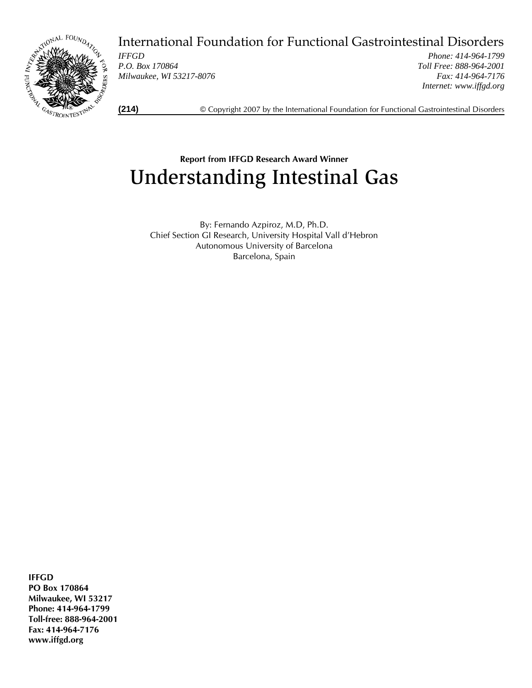

International Foundation for Functional Gastrointestinal Disorders

*IFFGD P.O. Box 170864 Milwaukee, WI 53217-8076* 

*Phone: 414-964-1799 Toll Free: 888-964-2001 Fax: 414-964-7176 Internet: www.iffgd.org*

**(214)** © Copyright 2007 by the International Foundation for Functional Gastrointestinal Disorders

# **Report from IFFGD Research Award Winner**  Understanding Intestinal Gas

By: Fernando Azpiroz, M.D, Ph.D. Chief Section GI Research, University Hospital Vall d'Hebron Autonomous University of Barcelona Barcelona, Spain

**IFFGD** 

**PO Box 170864 Milwaukee, WI 53217 Phone: 414-964-1799 Toll-free: 888-964-2001 Fax: 414-964-7176 www.iffgd.org**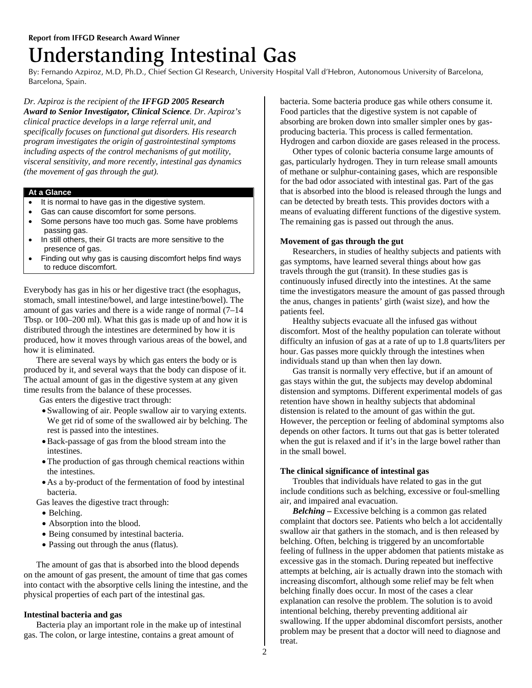# Understanding Intestinal Gas

By: Fernando Azpiroz, M.D, Ph.D., Chief Section GI Research, University Hospital Vall d'Hebron, Autonomous University of Barcelona, Barcelona, Spain.

*Dr. Azpiroz is the recipient of the IFFGD 2005 Research Award to Senior Investigator, Clinical Science. Dr. Azpiroz's clinical practice develops in a large referral unit, and specifically focuses on functional gut disorders. His research program investigates the origin of gastrointestinal symptoms including aspects of the control mechanisms of gut motility, visceral sensitivity, and more recently, intestinal gas dynamics (the movement of gas through the gut).* 

## **At a Glance**

- It is normal to have gas in the digestive system.
- Gas can cause discomfort for some persons.
- Some persons have too much gas. Some have problems passing gas.
- In still others, their GI tracts are more sensitive to the presence of gas.
- Finding out why gas is causing discomfort helps find ways to reduce discomfort.

Everybody has gas in his or her digestive tract (the esophagus, stomach, small intestine/bowel, and large intestine/bowel). The amount of gas varies and there is a wide range of normal (7–14 Tbsp. or 100–200 ml). What this gas is made up of and how it is distributed through the intestines are determined by how it is produced, how it moves through various areas of the bowel, and how it is eliminated.

 There are several ways by which gas enters the body or is produced by it, and several ways that the body can dispose of it. The actual amount of gas in the digestive system at any given time results from the balance of these processes.

Gas enters the digestive tract through:

- Swallowing of air. People swallow air to varying extents. We get rid of some of the swallowed air by belching. The rest is passed into the intestines.
- •Back-passage of gas from the blood stream into the intestines.
- •The production of gas through chemical reactions within the intestines.
- As a by-product of the fermentation of food by intestinal bacteria.

Gas leaves the digestive tract through:

- Belching.
- Absorption into the blood.
- Being consumed by intestinal bacteria.
- Passing out through the anus (flatus).

 The amount of gas that is absorbed into the blood depends on the amount of gas present, the amount of time that gas comes into contact with the absorptive cells lining the intestine, and the physical properties of each part of the intestinal gas.

## **Intestinal bacteria and gas**

 Bacteria play an important role in the make up of intestinal gas. The colon, or large intestine, contains a great amount of

bacteria. Some bacteria produce gas while others consume it. Food particles that the digestive system is not capable of absorbing are broken down into smaller simpler ones by gasproducing bacteria. This process is called fermentation. Hydrogen and carbon dioxide are gases released in the process.

 Other types of colonic bacteria consume large amounts of gas, particularly hydrogen. They in turn release small amounts of methane or sulphur-containing gases, which are responsible for the bad odor associated with intestinal gas. Part of the gas that is absorbed into the blood is released through the lungs and can be detected by breath tests. This provides doctors with a means of evaluating different functions of the digestive system. The remaining gas is passed out through the anus.

# **Movement of gas through the gut**

 Researchers, in studies of healthy subjects and patients with gas symptoms, have learned several things about how gas travels through the gut (transit). In these studies gas is continuously infused directly into the intestines. At the same time the investigators measure the amount of gas passed through the anus, changes in patients' girth (waist size), and how the patients feel.

 Healthy subjects evacuate all the infused gas without discomfort. Most of the healthy population can tolerate without difficulty an infusion of gas at a rate of up to 1.8 quarts/liters per hour. Gas passes more quickly through the intestines when individuals stand up than when then lay down.

 Gas transit is normally very effective, but if an amount of gas stays within the gut, the subjects may develop abdominal distension and symptoms. Different experimental models of gas retention have shown in healthy subjects that abdominal distension is related to the amount of gas within the gut. However, the perception or feeling of abdominal symptoms also depends on other factors. It turns out that gas is better tolerated when the gut is relaxed and if it's in the large bowel rather than in the small bowel.

# **The clinical significance of intestinal gas**

 Troubles that individuals have related to gas in the gut include conditions such as belching, excessive or foul-smelling air, and impaired anal evacuation.

*Belching* **–** Excessive belching is a common gas related complaint that doctors see. Patients who belch a lot accidentally swallow air that gathers in the stomach, and is then released by belching. Often, belching is triggered by an uncomfortable feeling of fullness in the upper abdomen that patients mistake as excessive gas in the stomach. During repeated but ineffective attempts at belching, air is actually drawn into the stomach with increasing discomfort, although some relief may be felt when belching finally does occur. In most of the cases a clear explanation can resolve the problem. The solution is to avoid intentional belching, thereby preventing additional air swallowing. If the upper abdominal discomfort persists, another problem may be present that a doctor will need to diagnose and treat.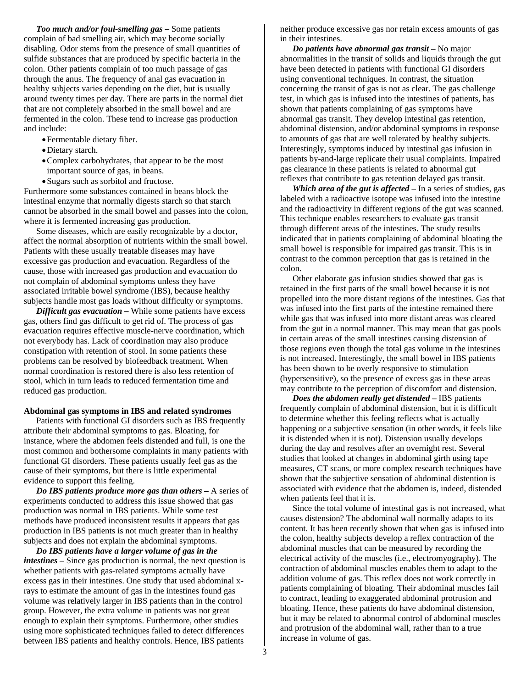*Too much and/or foul-smelling gas* **–** Some patients complain of bad smelling air, which may become socially disabling. Odor stems from the presence of small quantities of sulfide substances that are produced by specific bacteria in the colon. Other patients complain of too much passage of gas through the anus. The frequency of anal gas evacuation in healthy subjects varies depending on the diet, but is usually around twenty times per day. There are parts in the normal diet that are not completely absorbed in the small bowel and are fermented in the colon. These tend to increase gas production and include:

- •Fermentable dietary fiber.
- •Dietary starch.
- •Complex carbohydrates, that appear to be the most important source of gas, in beans.
- •Sugars such as sorbitol and fructose.

Furthermore some substances contained in beans block the intestinal enzyme that normally digests starch so that starch cannot be absorbed in the small bowel and passes into the colon, where it is fermented increasing gas production.

 Some diseases, which are easily recognizable by a doctor, affect the normal absorption of nutrients within the small bowel. Patients with these usually treatable diseases may have excessive gas production and evacuation. Regardless of the cause, those with increased gas production and evacuation do not complain of abdominal symptoms unless they have associated irritable bowel syndrome (IBS), because healthy subjects handle most gas loads without difficulty or symptoms.

 *Difficult gas evacuation* **–** While some patients have excess gas, others find gas difficult to get rid of. The process of gas evacuation requires effective muscle-nerve coordination, which not everybody has. Lack of coordination may also produce constipation with retention of stool. In some patients these problems can be resolved by biofeedback treatment. When normal coordination is restored there is also less retention of stool, which in turn leads to reduced fermentation time and reduced gas production.

#### **Abdominal gas symptoms in IBS and related syndromes**

 Patients with functional GI disorders such as IBS frequently attribute their abdominal symptoms to gas. Bloating, for instance, where the abdomen feels distended and full, is one the most common and bothersome complaints in many patients with functional GI disorders. These patients usually feel gas as the cause of their symptoms, but there is little experimental evidence to support this feeling.

*Do IBS patients produce more gas than others* **–** A series of experiments conducted to address this issue showed that gas production was normal in IBS patients. While some test methods have produced inconsistent results it appears that gas production in IBS patients is not much greater than in healthy subjects and does not explain the abdominal symptoms.

*Do IBS patients have a larger volume of gas in the intestines* **–** Since gas production is normal, the next question is whether patients with gas-related symptoms actually have excess gas in their intestines. One study that used abdominal xrays to estimate the amount of gas in the intestines found gas volume was relatively larger in IBS patients than in the control group. However, the extra volume in patients was not great enough to explain their symptoms. Furthermore, other studies using more sophisticated techniques failed to detect differences between IBS patients and healthy controls. Hence, IBS patients

neither produce excessive gas nor retain excess amounts of gas in their intestines.

 *Do patients have abnormal gas transit* **–** No major abnormalities in the transit of solids and liquids through the gut have been detected in patients with functional GI disorders using conventional techniques. In contrast, the situation concerning the transit of gas is not as clear. The gas challenge test, in which gas is infused into the intestines of patients, has shown that patients complaining of gas symptoms have abnormal gas transit. They develop intestinal gas retention, abdominal distension, and/or abdominal symptoms in response to amounts of gas that are well tolerated by healthy subjects. Interestingly, symptoms induced by intestinal gas infusion in patients by-and-large replicate their usual complaints. Impaired gas clearance in these patients is related to abnormal gut reflexes that contribute to gas retention delayed gas transit.

 *Which area of the gut is affected* **–** In a series of studies, gas labeled with a radioactive isotope was infused into the intestine and the radioactivity in different regions of the gut was scanned. This technique enables researchers to evaluate gas transit through different areas of the intestines. The study results indicated that in patients complaining of abdominal bloating the small bowel is responsible for impaired gas transit. This is in contrast to the common perception that gas is retained in the colon.

 Other elaborate gas infusion studies showed that gas is retained in the first parts of the small bowel because it is not propelled into the more distant regions of the intestines. Gas that was infused into the first parts of the intestine remained there while gas that was infused into more distant areas was cleared from the gut in a normal manner. This may mean that gas pools in certain areas of the small intestines causing distension of those regions even though the total gas volume in the intestines is not increased. Interestingly, the small bowel in IBS patients has been shown to be overly responsive to stimulation (hypersensitive), so the presence of excess gas in these areas may contribute to the perception of discomfort and distension.

 *Does the abdomen really get distended* **–** IBS patients frequently complain of abdominal distension, but it is difficult to determine whether this feeling reflects what is actually happening or a subjective sensation (in other words, it feels like it is distended when it is not). Distension usually develops during the day and resolves after an overnight rest. Several studies that looked at changes in abdominal girth using tape measures, CT scans, or more complex research techniques have shown that the subjective sensation of abdominal distention is associated with evidence that the abdomen is, indeed, distended when patients feel that it is.

 Since the total volume of intestinal gas is not increased, what causes distension? The abdominal wall normally adapts to its content. It has been recently shown that when gas is infused into the colon, healthy subjects develop a reflex contraction of the abdominal muscles that can be measured by recording the electrical activity of the muscles (i.e., electromyography). The contraction of abdominal muscles enables them to adapt to the addition volume of gas. This reflex does not work correctly in patients complaining of bloating. Their abdominal muscles fail to contract, leading to exaggerated abdominal protrusion and bloating. Hence, these patients do have abdominal distension, but it may be related to abnormal control of abdominal muscles and protrusion of the abdominal wall, rather than to a true increase in volume of gas.